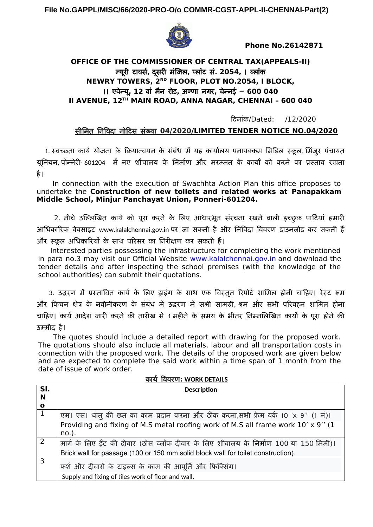**File No.GAPPL/MISC/66/2020-PRO-O/o COMMR-CGST-APPL-II-CHENNAI-Part(2)**



 **Phone No.26142871** 

# **OFFICE OF THE COMMISSIONER OF CENTRAL TAX(APPEALS-II)** न्यूरी टावर्स**,** दूर्स री मंजिल**,** प्लॉटा र्स**. 2054,** । ब्लॉक **NEWRY TOWERS, 2ND FLOOR, PLOT NO.2054, I BLOCK,**  ।। एवेन्यू**, 12** वां मंन रीड**,** अण्णा नगरी**,** चेन्नई – **600 040 II AVENUE, 12TH MAIN ROAD, ANNA NAGAR, CHENNAI – 600 040**

दिदूनांक/Dated: /12/2020

## र्स%मिमंत निविदू नोदिटार्स र्सख्यू **04/2020 /LIMITED TENDER NOTICE NO.04/2020**

1. स्वच्छता कार्य योजना के क्रियान्वयन के संबंध में यह कार्यालय पनापक्कम मिडिल स्कूल, मिंजुर पंचायत यूनियन, पोन्नेरी- 601204 में नए शौचालय के निर्माण और मरम्मत के कार्यों को करने का प्रस्ताव रखता है।

 In connection with the execution of Swachhta Action Plan this office proposes to undertake the **Construction of new toilets and related works at Panapakkam Middle School, Minjur Panchayat Union, Ponneri-601204.** 

2. नीचे उल्लिखित कार्य को पूरा करने के लिए आधारभूत संरचना रखने वाली इच्छुक पार्टियां हमारी आधिकारिक वेबसाइट www.kalalchennai.gov.in पर जा सकती हैं और निविदा विवरण डाउनलोड कर सकती हैं और स्कूल अधिकारियों के साथ परिसर का निरीक्षण कर सकती हैं।

 Interested parties possessing the infrastructure for completing the work mentioned in para no.3 may visit our Official Website [www.kalalchennai.gov.in](http://www.kalalchennai.gov.in/) and download the tender details and after inspecting the school premises (with the knowledge of the school authorities) can submit their quotations.

3. उद्धरण में प्रस्तावित कार्य के लिए डाइंग के साथ एक विस्तृत रिपोर्ट शामिल होनी चाहिए। रेस्ट रूम और किचन क्षेत्र के नवीनीकरण के संबंध में उद्धरण में सभी सामग्री, श्रम और सभी परिवहन शामिल होना चाहिए। कार्य आदेश जारी करने की तारीख से 1 महीने के समय के भीतर निम्नलिखित कार्यों के पूरा होने की उम्मीद है।

 The quotes should include a detailed report with drawing for the proposed work. The quotations should also include all materials, labour and all transportation costs in connection with the proposed work. The details of the proposed work are given below and are expected to complete the said work within a time span of 1 month from the date of issue of work order.

कायू विवरीणा **: WORK DETAILS**

| SI.         | <b>Description</b>                                                                           |
|-------------|----------------------------------------------------------------------------------------------|
| N           |                                                                                              |
| $\mathbf o$ |                                                                                              |
|             | एम। एस। धातु की छत का काम प्रदान करना और ठीक करना,सभी फ्रेम वर्क 10 'x 9'' (1 नं)।           |
|             | Providing and fixing of M.S metal roofing work of M.S all frame work 10' x 9" (1<br>$no.$ ). |
|             | मार्ग के लिए ईंट की दीवार (ठोस ब्लॉक दीवार के लिए शौचालय के निर्माण 100 या 150 मिमी)।        |
|             | Brick wall for passage (100 or 150 mm solid block wall for toilet construction).             |
| 3           | फर्श और दीवारों के टाइल्स के काम की आपूर्ति और फिक्सिंग।                                     |
|             | Supply and fixing of tiles work of floor and wall.                                           |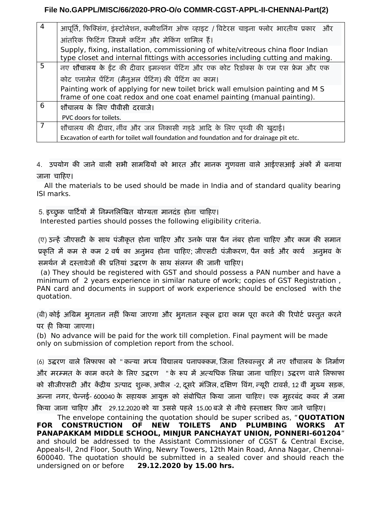## **File No.GAPPL/MISC/66/2020-PRO-O/o COMMR-CGST-APPL-II-CHENNAI-Part(2)**

| $\overline{4}$ | आपूर्ति, फिक्सिंग, इंस्टॉलेशन, कमीशनिंग ऑफ व्हाइट / विटेरस चाइना फ्लोर भारतीय प्रकार) और                                                                             |
|----------------|----------------------------------------------------------------------------------------------------------------------------------------------------------------------|
|                | आंतरिक फिटिंग जिसमें कटिंग और मेकिंग शामिल हैं।                                                                                                                      |
|                | Supply, fixing, installation, commissioning of white/vitreous china floor Indian<br>type closet and internal fittings with accessories including cutting and making. |
| 5              | नए शौचालय के ईंट की दीवार इमल्शन पेंटिंग और एक कोट रिडॉक्स के एम एस फ्रेम और एक                                                                                      |
|                | कोट एनामेल पेंटिंग (मैनुअल पेंटिंग) की पेंटिंग का काम।                                                                                                               |
|                | Painting work of applying for new toilet brick wall emulsion painting and M S<br>frame of one coat redox and one coat enamel painting (manual painting).             |
| 6              | शौचालय के लिए पीवीसी दरवाजे।                                                                                                                                         |
|                | PVC doors for toilets.                                                                                                                                               |
|                | शौचालय की दीवार, नींव और जल निकासी गड़ढे आदि के लिए पृथ्वी की खुदाई।                                                                                                 |
|                | Excavation of earth for toilet wall foundation and foundation and for drainage pit etc.                                                                              |

4. उपयोग की जाने वाली सभी सामग्रियों को भारत और मानक गुणवत्ता वाले आईएसआई अंकों में बनाया जाना चाहिए।

 All the materials to be used should be made in India and of standard quality bearing ISI marks.

5. इच्छुक पार्टियों में निम्नलिखित योग्यता मानदंड होना चाहिए।

Interested parties should posses the following eligibility criteria.

(ए) उन्हें जीएसटी के साथ पंजीकृत होना चाहिए और उनके पास पैन नंबर होना चाहिए और काम की समान प्रकृति में कम से कम 2 वर्ष का अनुभव होना चाहिए; जीएसटी पंजीकरण, पैन कार्ड और कार्य अनुभव के र्समर्थन में दस्तावेजों की प्रतियां उद्धरण के साथ संलग्न की जानी चाहिए।

 (a) They should be registered with GST and should possess a PAN number and have a minimum of 2 years experience in similar nature of work; copies of GST Registration , PAN card and documents in support of work experience should be enclosed with the quotation.

(बी) कोई अग्रिम भूगतान नहीं किया जाएगा और भूगतान स्कूल द्वारा काम पूरा करने की रिपोर्ट प्रस्तुत करने पर ही किया जाएगा।

(b) No advance will be paid for the work till completion. Final payment will be made only on submission of completion report from the school.

(6) उद्धरण वाले लिफाफा को " कन्या मध्य विद्यालय पनापक्कम, जिला तिरुवल्लुर में नए शौचालय के निर्माण और मरम्मत के काम करने के लिए उद्धरण " के रूप में अत्यधिक लिखा जाना चाहिए। उद्धरण वाले लिफाफा को सीजीएसटी और केंद्रीय उत्पाद शुल्क, अपील -2, दूसरे मंजिल, दक्षिण विंग, न्यूरी टावर्स, 12 वीं मुख्य सड़क, अन्ना नगर, चेन्नई- 600040 के सहायक आयुक्त को संबोधित किया जाना चाहिए। एक मुहरबंद कवर में जमा किया जाना चाहिए और 29.12.2020 को या उससे पहले 15.00 बजे से नीचे हस्ताक्षर किए जाने चाहिए।

 The envelope containing the quotation should be super scribed as, "**QUOTATION FOR CONSTRUCTION OF NEW TOILETS AND PLUMBING WORKS AT PANAPAKKAM MIDDLE SCHOOL, MINJUR PANCHAYAT UNION, PONNERI-601204**" and should be addressed to the Assistant Commissioner of CGST & Central Excise, Appeals-II, 2nd Floor, South Wing, Newry Towers, 12th Main Road, Anna Nagar, Chennai-600040. The quotation should be submitted in a sealed cover and should reach the undersigned on or before **29.12.2020 by 15.00 hrs.**